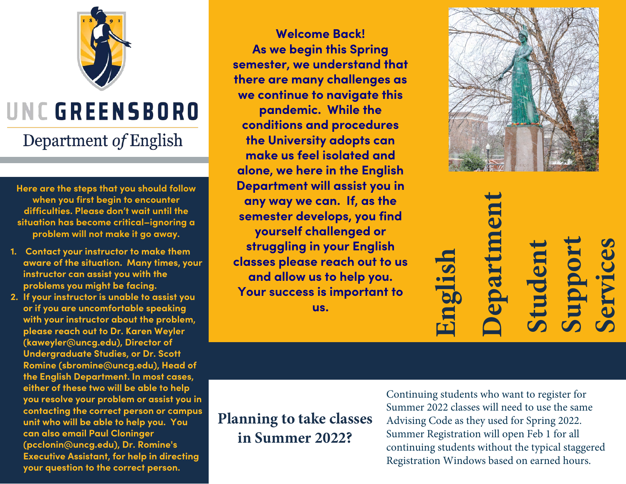

## UNC GREENSBORO

## Department of English

**Here are the steps that you should follow when you first begin to encounter difficulties. Please don't wait until the situation has become critical–ignoring a problem will not make it go away.** 

- **1. Contact your instructor to make them aware of the situation. Many times, your instructor can assist you with the problems you might be facing.**
- **2. If your instructor is unable to assist you or if you are uncomfortable speaking with your instructor about the problem, please reach out to Dr. Karen Weyler (kaweyler@uncg.edu), Director of Undergraduate Studies, or Dr. Scott Romine (sbromine@uncg.edu), Head of the English Department. In most cases, either of these two will be able to help you resolve your problem or assist you in contacting the correct person or campus unit who will be able to help you. You can also email Paul Cloninger (pcclonin@uncg.edu), Dr. Romine's Executive Assistant, for help in directing your question to the correct person.**

**Welcome Back! As we begin this Spring semester, we understand that there are many challenges as we continue to navigate this pandemic. While the conditions and procedures the University adopts can make us feel isolated and alone, we here in the English Department will assist you in any way we can. If, as the semester develops, you find yourself challenged or struggling in your English classes please reach out to us and allow us to help you. Your success is important to us.** 



## **Department Support Student Services English** epar

**Planning to take classes in Summer 2022?** 

Continuing students who want to register for Summer 2022 classes will need to use the same Advising Code as they used for Spring 2022. Summer Registration will open Feb 1 for all continuing students without the typical staggered Registration Windows based on earned hours.